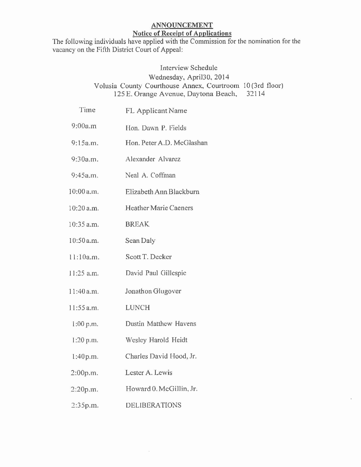## ANNOUNCEMENT Notice of Receipt of Applications

The following individuals have applied with the Commission for the nomination for the vacancy on the Fifth District Court of Appeal:

## Interview Schedule Wednesday, April30. 2014 Volusia County Courthouse Annex, Courtroom 10 (3rd floor) 125 E. Orange Avenue, Daytona Beach, 32114

| Time         | <b>FL Applicant Name</b>     |
|--------------|------------------------------|
| 9:00a.m      | Hon. Dawn P. Fields          |
| 9:15a.m.     | Hon. Peter A.D. McGlashan    |
| 9:30a.m.     | Alexander Alvarez            |
| 9:45a.m.     | Neal A. Coffman              |
| 10:00 a.m.   | Elizabeth Ann Blackburn      |
| 10:20 a.m.   | <b>Heather Marie Caeners</b> |
| $10:35$ a.m. | <b>BREAK</b>                 |
| 10:50 a.m.   | Sean Daly                    |
| 11:10a.m.    | Scott T. Decker              |
| 11:25 a.m.   | David Paul Gillespie         |
| 11:40 a.m.   | Jonathon Glugover            |
| $11:55$ a.m. | <b>LUNCH</b>                 |
| $1:00$ p.m.  | Dustin Matthew Havens        |
| 1:20 p.m.    | Wesley Harold Heidt          |
| 1:40p.m.     | Charles David Hood, Jr.      |
| 2:00p.m.     | Lester A. Lewis              |
| 2:20p.m.     | Howard 0. McGillin, Jr.      |
| 2:35p.m.     | <b>DELIBERATIONS</b>         |